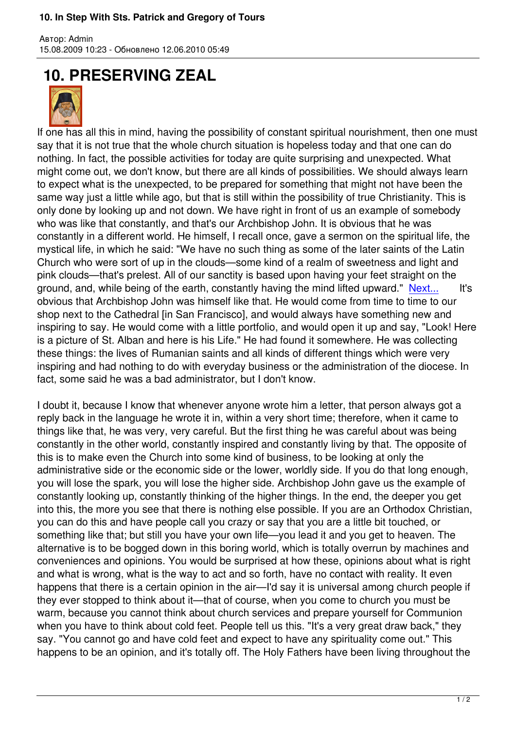## **10. PRESERVING ZEAL**



Автор: Admin

If one has all this in mind, having the possibility of constant spiritual nourishment, then one must say that it is not true that the whole church situation is hopeless today and that one can do nothing. In fact, the possible activities for today are quite surprising and unexpected. What might come out, we don't know, but there are all kinds of possibilities. We should always learn to expect what is the unexpected, to be prepared for something that might not have been the same way just a little while ago, but that is still within the possibility of true Christianity. This is only done by looking up and not down. We have right in front of us an example of somebody who was like that constantly, and that's our Archbishop John. It is obvious that he was constantly in a different world. He himself, I recall once, gave a sermon on the spiritual life, the mystical life, in which he said: "We have no such thing as some of the later saints of the Latin Church who were sort of up in the clouds—some kind of a realm of sweetness and light and pink clouds—that's prelest. All of our sanctity is based upon having your feet straight on the ground, and, while being of the earth, constantly having the mind lifted upward." Next... It's obvious that Archbishop John was himself like that. He would come from time to time to our shop next to the Cathedral [in San Francisco], and would always have something new and inspiring to say. He would come with a little portfolio, and would open it up and s[ay, "Loo](index.php?option=com_content&task=view&id=601&Itemid=40)k! Here is a picture of St. Alban and here is his Life." He had found it somewhere. He was collecting these things: the lives of Rumanian saints and all kinds of different things which were very inspiring and had nothing to do with everyday business or the administration of the diocese. In fact, some said he was a bad administrator, but I don't know.

I doubt it, because I know that whenever anyone wrote him a letter, that person always got a reply back in the language he wrote it in, within a very short time; therefore, when it came to things like that, he was very, very careful. But the first thing he was careful about was being constantly in the other world, constantly inspired and constantly living by that. The opposite of this is to make even the Church into some kind of business, to be looking at only the administrative side or the economic side or the lower, worldly side. If you do that long enough, you will lose the spark, you will lose the higher side. Archbishop John gave us the example of constantly looking up, constantly thinking of the higher things. In the end, the deeper you get into this, the more you see that there is nothing else possible. If you are an Orthodox Christian, you can do this and have people call you crazy or say that you are a little bit touched, or something like that; but still you have your own life—you lead it and you get to heaven. The alternative is to be bogged down in this boring world, which is totally overrun by machines and conveniences and opinions. You would be surprised at how these, opinions about what is right and what is wrong, what is the way to act and so forth, have no contact with reality. It even happens that there is a certain opinion in the air—I'd say it is universal among church people if they ever stopped to think about it—that of course, when you come to church you must be warm, because you cannot think about church services and prepare yourself for Communion when you have to think about cold feet. People tell us this. "It's a very great draw back," they say. "You cannot go and have cold feet and expect to have any spirituality come out." This happens to be an opinion, and it's totally off. The Holy Fathers have been living throughout the